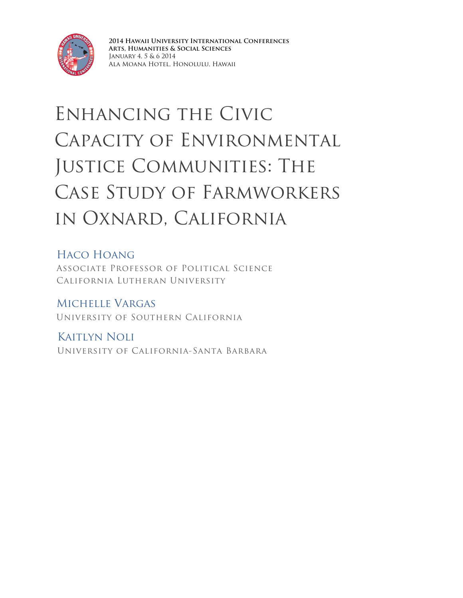

**2014 Hawaii University International Conferences Arts, Humanities & Social Sciences** January 4, 5 & 6 2014 Ala Moana Hotel, Honolulu, Hawaii

## Enhancing the Civic Capacity of Environmental JUSTICE COMMUNITIES: THE Case Study of Farmworkers in Oxnard, California

Haco Hoang Associate Professor of Political Science California Lutheran University

Michelle Vargas University of Southern California

Kaitlyn Noli University of California-Santa Barbara